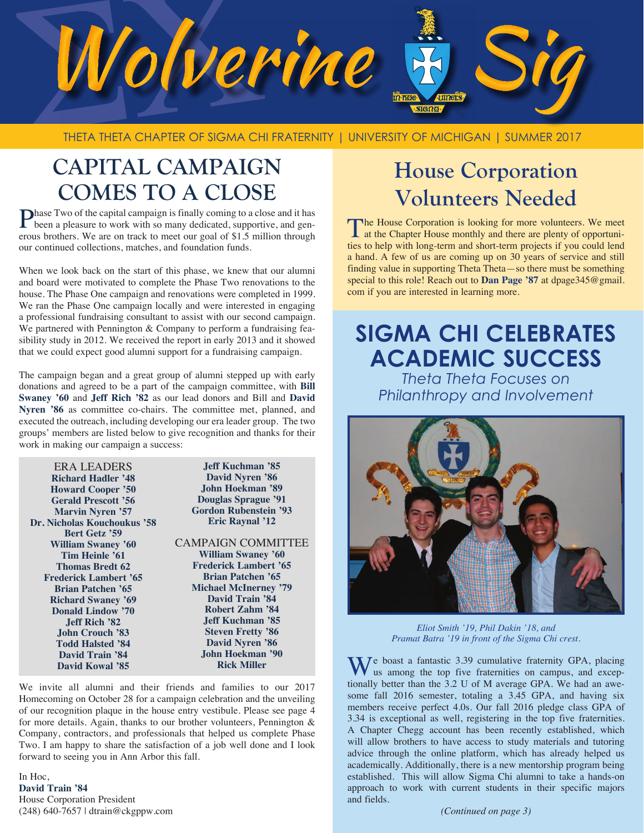

THETA THETA CHAPTER OF SIGMA CHI FRATERNITY | UNIVERSITY OF MICHIGAN | SUMMER 2017

# **CAPITAL CAMPAIGN COMES TO A CLOSE**

**Phase Two of the capital campaign is finally coming to a close and it has been a pleasure to work with so many dedicated, supportive, and gen**erous brothers. We are on track to meet our goal of \$1.5 million through our continued collections, matches, and foundation funds.

When we look back on the start of this phase, we knew that our alumni and board were motivated to complete the Phase Two renovations to the house. The Phase One campaign and renovations were completed in 1999. We ran the Phase One campaign locally and were interested in engaging a professional fundraising consultant to assist with our second campaign. We partnered with Pennington & Company to perform a fundraising feasibility study in 2012. We received the report in early 2013 and it showed that we could expect good alumni support for a fundraising campaign.

The campaign began and a great group of alumni stepped up with early donations and agreed to be a part of the campaign committee, with **Bill Swaney '60** and **Jeff Rich '82** as our lead donors and Bill and **David**  Nyren '86 as committee co-chairs. The committee met, planned, and executed the outreach, including developing our era leader group. The two groups' members are listed below to give recognition and thanks for their work in making our campaign a success:

| <b>Jeff Kuchman '85</b>      |
|------------------------------|
| <b>David Nyren '86</b>       |
| John Hoekman '89             |
| <b>Douglas Sprague '91</b>   |
| <b>Gordon Rubenstein '93</b> |
| <b>Eric Raynal '12</b>       |
|                              |
| <b>CAMPAIGN COMMITTEE</b>    |
| <b>William Swaney '60</b>    |
| <b>Frederick Lambert '65</b> |
| <b>Brian Patchen '65</b>     |
| <b>Michael McInerney '79</b> |
| <b>David Train '84</b>       |
| Robert Zahm '84              |
| Jeff Kuchman '85.            |
| <b>Steven Fretty '86</b>     |
| <b>David Nyren '86</b>       |
| John Hoekman '90             |
| <b>Rick Miller</b>           |
|                              |

We invite all alumni and their friends and families to our 2017 Homecoming on October 28 for a campaign celebration and the unveiling of our recognition plaque in the house entry vestibule. Please see page 4 for more details. Again, thanks to our brother volunteers, Pennington & Company, contractors, and professionals that helped us complete Phase Two. I am happy to share the satisfaction of a job well done and I look forward to seeing you in Ann Arbor this fall.

In Hoc, **David Train '84** House Corporation President (248) 640-7657 | dtrain@ckgppw.com

# **House Corporation Volunteers Needed**

The House Corporation is looking for more volunteers. We meet at the Chapter House monthly and there are plenty of opportunities to help with long-term and short-term projects if you could lend a hand. A few of us are coming up on 30 years of service and still finding value in supporting Theta Theta—so there must be something special to this role! Reach out to **Dan Page '87** at dpage345@gmail. com if you are interested in learning more.

# **SIGMA CHI CELEBRATES ACADEMIC SUCCESS**

*Theta Theta Focuses on Philanthropy and Involvement*



*Eliot Smith '19, Phil Dakin '18, and Pramat Batra '19 in front of the Sigma Chi crest.*

We boast a fantastic 3.39 cumulative fraternity GPA, placing us among the top five fraternities on campus, and exceptionally better than the 3.2 U of M average GPA. We had an awesome fall 2016 semester, totaling a 3.45 GPA, and having six members receive perfect 4.0s. Our fall 2016 pledge class GPA of 3.34 is exceptional as well, registering in the top five fraternities. A Chapter Chegg account has been recently established, which will allow brothers to have access to study materials and tutoring advice through the online platform, which has already helped us academically. Additionally, there is a new mentorship program being established. This will allow Sigma Chi alumni to take a hands-on approach to work with current students in their specific majors and fields.

*(Continued on page 3)*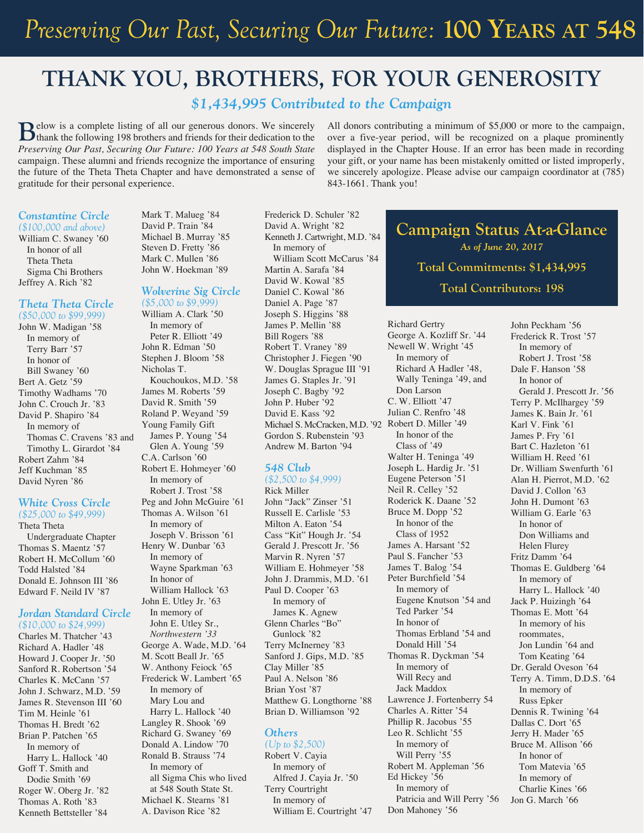# **THANK YOU, BROTHERS, FOR YOUR GENEROSITY**

### *\$1,434,995 Contributed to the Campaign*

**B**elow is a complete listing of all our generous donors. We sincerely thank the following 198 brothers and friends for their dedication to the *Preserving Our Past, Securing Our Future: 100 Years at 548 South State* campaign. These alumni and friends recognize the importance of ensuring the future of the Theta Theta Chapter and have demonstrated a sense of gratitude for their personal experience.

### *Constantine Circle (\$100,000 and above)*

William C. Swaney '60 In honor of all Theta Theta Sigma Chi Brothers Jeffrey A. Rich '82

### *Theta Theta Circle (\$50,000 to \$99,999)*

John W. Madigan '58 In memory of Terry Barr '57 In honor of Bill Swaney '60 Bert A. Getz '59 Timothy Wadhams '70 John C. Crouch Jr. '83 David P. Shapiro '84 In memory of Thomas C. Cravens '83 and Timothy L. Girardot '84 Robert Zahm '84 Jeff Kuchman '85 David Nyren '86

### *White Cross Circle*

*(\$25,000 to \$49,999)*  Theta Theta Undergraduate Chapter Thomas S. Maentz '57 Robert H. McCollum '60 Todd Halsted '84 Donald E. Johnson III '86 Edward F. Neild IV '87

### *Jordan Standard Circle (\$10,000 to \$24,999)*

Charles M. Thatcher '43 Richard A. Hadler '48 Howard J. Cooper Jr. '50 Sanford R. Robertson '54 Charles K. McCann '57 John J. Schwarz, M.D. '59 James R. Stevenson III '60 Tim M. Heinle '61 Thomas H. Bredt '62 Brian P. Patchen '65 In memory of Harry L. Hallock '40 Goff T. Smith and Dodie Smith '69 Roger W. Oberg Jr. '82 Thomas A. Roth '83 Kenneth Bettsteller '84

Mark T. Malueg '84 David P. Train '84 Michael B. Murray '85 Steven D. Fretty '86 Mark C. Mullen '86 John W. Hoekman '89

### *Wolverine Sig Circle*

*(\$5,000 to \$9,999)*  William A. Clark '50 In memory of Peter R. Elliott '49 John R. Edman '50 Stephen J. Bloom '58 Nicholas T. Kouchoukos, M.D. '58 James M. Roberts '59 David R. Smith '59 Roland P. Weyand '59 Young Family Gift James P. Young '54 Glen A. Young '59 C.A. Carlson '60 Robert E. Hohmeyer '60 In memory of Robert J. Trost '58 Peg and John McGuire '61 Thomas A. Wilson '61 In memory of Joseph V. Brisson '61 Henry W. Dunbar '63 In memory of Wayne Sparkman '63 In honor of William Hallock '63 John E. Utley Jr. '63 In memory of John E. Utley Sr., *Northwestern '33*  George A. Wade, M.D. '64 M. Scott Beall Jr. '65 W. Anthony Feiock '65 Frederick W. Lambert '65 In memory of Mary Lou and Harry L. Hallock '40 Langley R. Shook '69 Richard G. Swaney '69 Donald A. Lindow '70 Ronald B. Strauss '74 In memory of all Sigma Chis who lived at 548 South State St.

Michael K. Stearns '81 A. Davison Rice '82

Frederick D. Schuler '82 David A. Wright '82 Kenneth J. Cartwright, M.D. '84 In memory of William Scott McCarus '84 Martin A. Sarafa '84 David W. Kowal '85 Daniel C. Kowal '86 Daniel A. Page '87 Joseph S. Higgins '88 James P. Mellin '88 Bill Rogers '88 Robert T. Vraney '89 Christopher J. Fiegen '90 W. Douglas Sprague III '91 James G. Staples Jr. '91 Joseph C. Bagby '92 John P. Huber '92 David E. Kass '92 Michael S. McCracken, M.D. '92 Robert D. Miller '49 Gordon S. Rubenstein '93 Andrew M. Barton '94

### *548 Club*

*(\$2,500 to \$4,999)* Rick Miller John "Jack" Zinser '51 Russell E. Carlisle '53 Milton A. Eaton '54 Cass "Kit" Hough Jr. '54 Gerald J. Prescott Jr. '56 Marvin R. Nyren '57 William E. Hohmeyer '58 John J. Drammis, M.D. '61 Paul D. Cooper '63 In memory of James K. Agnew Glenn Charles "Bo" Gunlock '82 Terry McInerney '83 Sanford J. Gips, M.D. '85 Clay Miller '85 Paul A. Nelson '86 Brian Yost '87 Matthew G. Longthorne '88 Brian D. Williamson '92

### *Others*

*(Up to \$2,500)*  Robert V. Cayia In memory of Alfred J. Cayia Jr. '50 Terry Courtright In memory of William E. Courtright '47

All donors contributing a minimum of \$5,000 or more to the campaign, over a five-year period, will be recognized on a plaque prominently displayed in the Chapter House. If an error has been made in recording your gift, or your name has been mistakenly omitted or listed improperly, we sincerely apologize. Please advise our campaign coordinator at (785) 843-1661. Thank you!

### **Campaign Status At-a-Glance** *As of June 20, 2017* **Total Commitments: \$1,434,995 Total Contributors: 198**

Richard Gertry George A. Kozliff Sr. '44 Newell W. Wright '45 In memory of Richard A Hadler '48, Wally Teninga '49, and Don Larson C. W. Elliott '47 Julian C. Renfro '48 In honor of the Class of '49 Walter H. Teninga '49 Joseph L. Hardig Jr. '51 Eugene Peterson '51 Neil R. Celley '52 Roderick K. Daane '52 Bruce M. Dopp '52 In honor of the Class of 1952 James A. Harsant '52 Paul S. Fancher '53 James T. Balog '54 Peter Burchfield '54 In memory of Eugene Knutson '54 and Ted Parker '54 In honor of Thomas Erbland '54 and Donald Hill '54 Thomas R. Dyckman '54 In memory of Will Recy and Jack Maddox Lawrence J. Fortenberry 54 Charles A. Ritter '54 Phillip R. Jacobus '55 Leo R. Schlicht '55 In memory of Will Perry '55 Robert M. Appleman '56 Ed Hickey '56 In memory of Patricia and Will Perry '56 Don Mahoney '56

John Peckham '56 Frederick R. Trost '57 In memory of Robert J. Trost '58 Dale F. Hanson '58 In honor of Gerald J. Prescott Jr. '56 Terry P. McIlhargey '59 James K. Bain Jr. '61 Karl V. Fink '61 James P. Fry '61 Bart C. Hazleton '61 William H. Reed '61 Dr. William Swenfurth '61 Alan H. Pierrot, M.D. '62 David J. Collon '63 John H. Dumont '63 William G. Earle '63 In honor of Don Williams and Helen Flurey Fritz Damm '64 Thomas E. Guldberg '64 In memory of Harry L. Hallock '40 Jack P. Huizingh '64 Thomas E. Mott '64 In memory of his roommates, Jon Lundin '64 and Tom Keating '64 Dr. Gerald Oveson '64 Terry A. Timm, D.D.S. '64 In memory of Russ Epker Dennis R. Twining '64 Dallas C. Dort '65 Jerry H. Mader '65 Bruce M. Allison '66 In honor of Tom Matevia '65 In memory of Charlie Kines '66 Jon G. March '66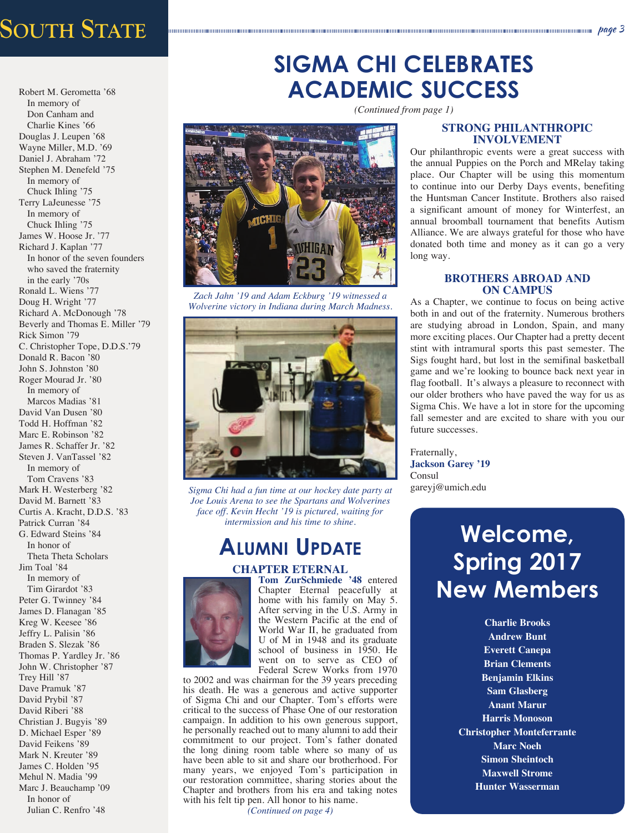# *Preserving Our Past, Securing Our Future:* **100 Years at** University of Michigan page 3 **548 South State**

Robert M. Gerometta '68 In memory of Don Canham and Charlie Kines '66 Douglas J. Leupen '68 Wayne Miller, M.D. '69 Daniel J. Abraham '72 Stephen M. Denefeld '75 In memory of Chuck Ihling '75 Terry LaJeunesse '75 In memory of Chuck Ihling '75 James W. Hoose Jr. '77 Richard J. Kaplan '77 In honor of the seven founders who saved the fraternity in the early '70s Ronald L. Wiens '77 Doug H. Wright '77 Richard A. McDonough '78 Beverly and Thomas E. Miller '79 Rick Simon '79 C. Christopher Tope, D.D.S.'79 Donald R. Bacon '80 John S. Johnston '80 Roger Mourad Jr. '80 In memory of Marcos Madias '81 David Van Dusen '80 Todd H. Hoffman '82 Marc E. Robinson '82 James R. Schaffer Jr. '82 Steven J. VanTassel '82 In memory of Tom Cravens '83 Mark H. Westerberg '82 David M. Barnett '83 Curtis A. Kracht, D.D.S. '83 Patrick Curran '84 G. Edward Steins '84 In honor of Theta Theta Scholars Jim Toal '84 In memory of Tim Girardot '83 Peter G. Twinney '84 James D. Flanagan '85 Kreg W. Keesee '86 Jeffry L. Palisin '86 Braden S. Slezak '86 Thomas P. Yardley Jr. '86 John W. Christopher '87 Trey Hill '87 Dave Pramuk '87 David Prybil '87 David Riberi '88 Christian J. Bugyis '89 D. Michael Esper '89 David Feikens '89 Mark N. Kreuter '89 James C. Holden '95 Mehul N. Madia '99 Marc J. Beauchamp '09 In honor of

### Julian C. Renfro '48

## **SIGMA CHI CELEBRATES ACADEMIC SUCCESS**

*(Continued from page 1)*



*Zach Jahn '19 and Adam Eckburg '19 witnessed a Wolverine victory in Indiana during March Madness.*



*Sigma Chi had a fun time at our hockey date party at Joe Louis Arena to see the Spartans and Wolverines face off. Kevin Hecht '19 is pictured, waiting for intermission and his time to shine.*

## **Alumni Update**

### **CHAPTER ETERNAL**



**Tom ZurSchmiede '48** entered Chapter Eternal peacefully at home with his family on May 5. After serving in the U.S. Army in the Western Pacific at the end of World War II, he graduated from U of M in 1948 and its graduate school of business in 1950. He went on to serve as CEO of Federal Screw Works from 1970

to 2002 and was chairman for the 39 years preceding his death. He was a generous and active supporter of Sigma Chi and our Chapter. Tom's efforts were critical to the success of Phase One of our restoration campaign. In addition to his own generous support, he personally reached out to many alumni to add their commitment to our project. Tom's father donated the long dining room table where so many of us have been able to sit and share our brotherhood. For many years, we enjoyed Tom's participation in our restoration committee, sharing stories about the Chapter and brothers from his era and taking notes with his felt tip pen. All honor to his name.

*(Continued on page 4)*

### **STRONG PHILANTHROPIC INVOLVEMENT**

Our philanthropic events were a great success with the annual Puppies on the Porch and MRelay taking place. Our Chapter will be using this momentum to continue into our Derby Days events, benefiting the Huntsman Cancer Institute. Brothers also raised a significant amount of money for Winterfest, an annual broomball tournament that benefits Autism Alliance. We are always grateful for those who have donated both time and money as it can go a very long way.

### **BROTHERS ABROAD AND ON CAMPUS**

As a Chapter, we continue to focus on being active both in and out of the fraternity. Numerous brothers are studying abroad in London, Spain, and many more exciting places. Our Chapter had a pretty decent stint with intramural sports this past semester. The Sigs fought hard, but lost in the semifinal basketball game and we're looking to bounce back next year in flag football. It's always a pleasure to reconnect with our older brothers who have paved the way for us as Sigma Chis. We have a lot in store for the upcoming fall semester and are excited to share with you our future successes.

Fraternally, **Jackson Garey '19** Consul gareyj@umich.edu

# **Welcome, Spring 2017 New Members**

**Charlie Brooks Andrew Bunt Everett Canepa Brian Clements Benjamin Elkins Sam Glasberg Anant Marur Harris Monoson Christopher Monteferrante Marc Noeh Simon Sheintoch Maxwell Strome Hunter Wasserman**